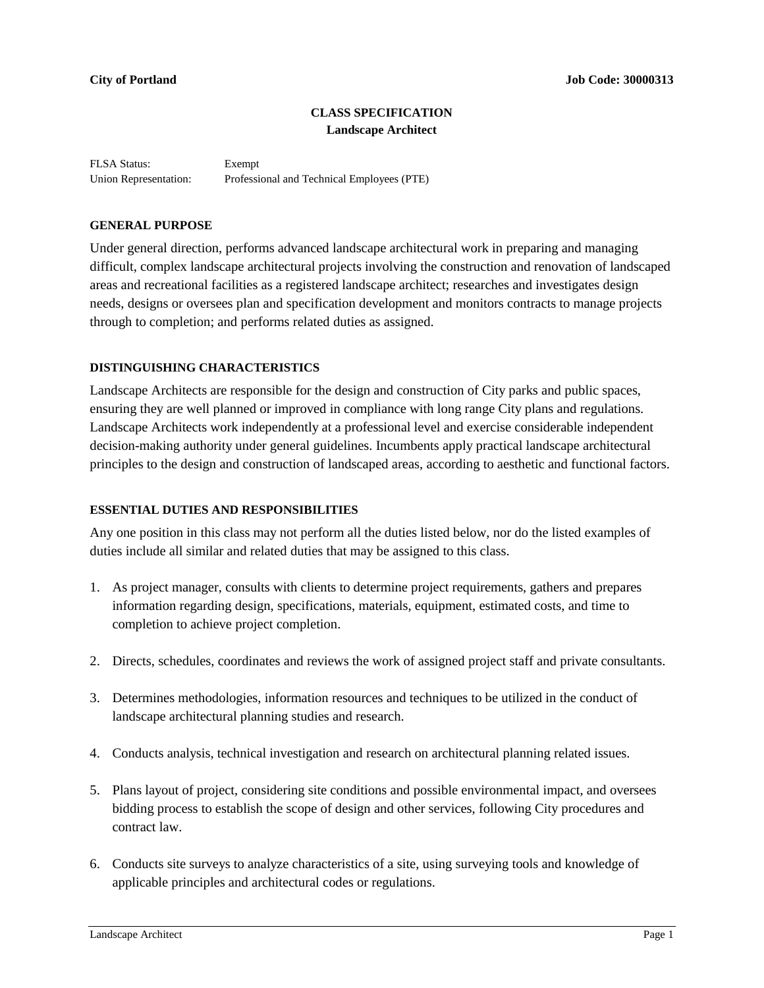# **CLASS SPECIFICATION Landscape Architect**

FLSA Status: Exempt Union Representation: Professional and Technical Employees (PTE)

## **GENERAL PURPOSE**

Under general direction, performs advanced landscape architectural work in preparing and managing difficult, complex landscape architectural projects involving the construction and renovation of landscaped areas and recreational facilities as a registered landscape architect; researches and investigates design needs, designs or oversees plan and specification development and monitors contracts to manage projects through to completion; and performs related duties as assigned.

#### **DISTINGUISHING CHARACTERISTICS**

Landscape Architects are responsible for the design and construction of City parks and public spaces, ensuring they are well planned or improved in compliance with long range City plans and regulations. Landscape Architects work independently at a professional level and exercise considerable independent decision-making authority under general guidelines. Incumbents apply practical landscape architectural principles to the design and construction of landscaped areas, according to aesthetic and functional factors.

#### **ESSENTIAL DUTIES AND RESPONSIBILITIES**

Any one position in this class may not perform all the duties listed below, nor do the listed examples of duties include all similar and related duties that may be assigned to this class.

- 1. As project manager, consults with clients to determine project requirements, gathers and prepares information regarding design, specifications, materials, equipment, estimated costs, and time to completion to achieve project completion.
- 2. Directs, schedules, coordinates and reviews the work of assigned project staff and private consultants.
- 3. Determines methodologies, information resources and techniques to be utilized in the conduct of landscape architectural planning studies and research.
- 4. Conducts analysis, technical investigation and research on architectural planning related issues.
- 5. Plans layout of project, considering site conditions and possible environmental impact, and oversees bidding process to establish the scope of design and other services, following City procedures and contract law.
- 6. Conducts site surveys to analyze characteristics of a site, using surveying tools and knowledge of applicable principles and architectural codes or regulations.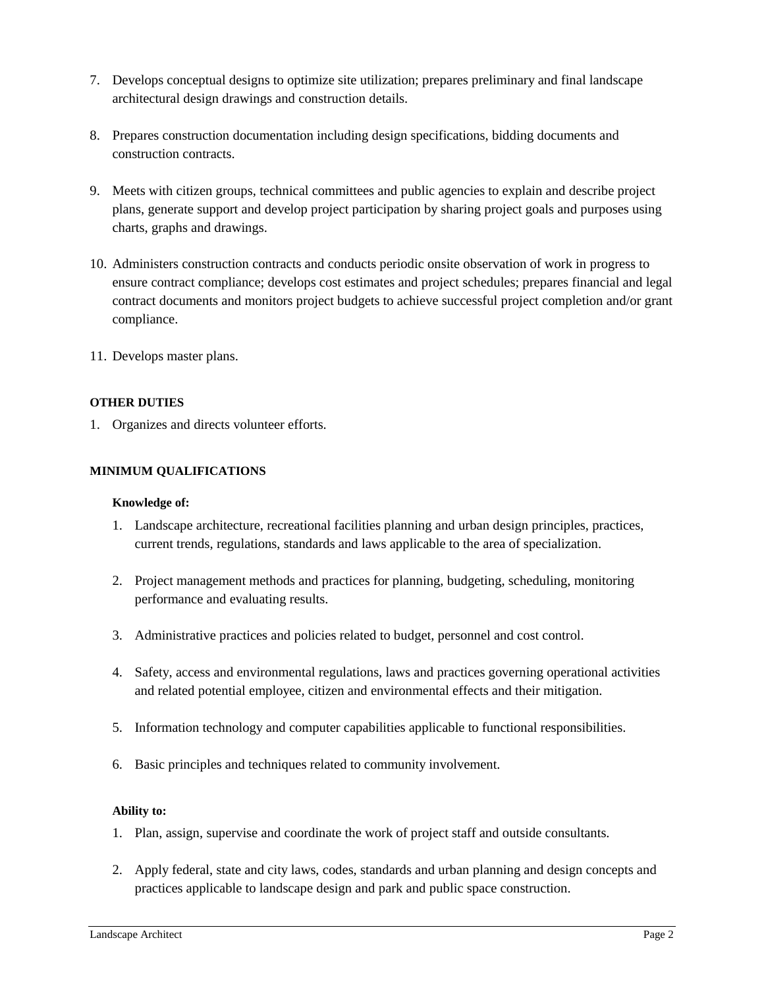- 7. Develops conceptual designs to optimize site utilization; prepares preliminary and final landscape architectural design drawings and construction details.
- 8. Prepares construction documentation including design specifications, bidding documents and construction contracts.
- 9. Meets with citizen groups, technical committees and public agencies to explain and describe project plans, generate support and develop project participation by sharing project goals and purposes using charts, graphs and drawings.
- 10. Administers construction contracts and conducts periodic onsite observation of work in progress to ensure contract compliance; develops cost estimates and project schedules; prepares financial and legal contract documents and monitors project budgets to achieve successful project completion and/or grant compliance.
- 11. Develops master plans.

## **OTHER DUTIES**

1. Organizes and directs volunteer efforts.

#### **MINIMUM QUALIFICATIONS**

#### **Knowledge of:**

- 1. Landscape architecture, recreational facilities planning and urban design principles, practices, current trends, regulations, standards and laws applicable to the area of specialization.
- 2. Project management methods and practices for planning, budgeting, scheduling, monitoring performance and evaluating results.
- 3. Administrative practices and policies related to budget, personnel and cost control.
- 4. Safety, access and environmental regulations, laws and practices governing operational activities and related potential employee, citizen and environmental effects and their mitigation.
- 5. Information technology and computer capabilities applicable to functional responsibilities.
- 6. Basic principles and techniques related to community involvement.

#### **Ability to:**

- 1. Plan, assign, supervise and coordinate the work of project staff and outside consultants.
- 2. Apply federal, state and city laws, codes, standards and urban planning and design concepts and practices applicable to landscape design and park and public space construction.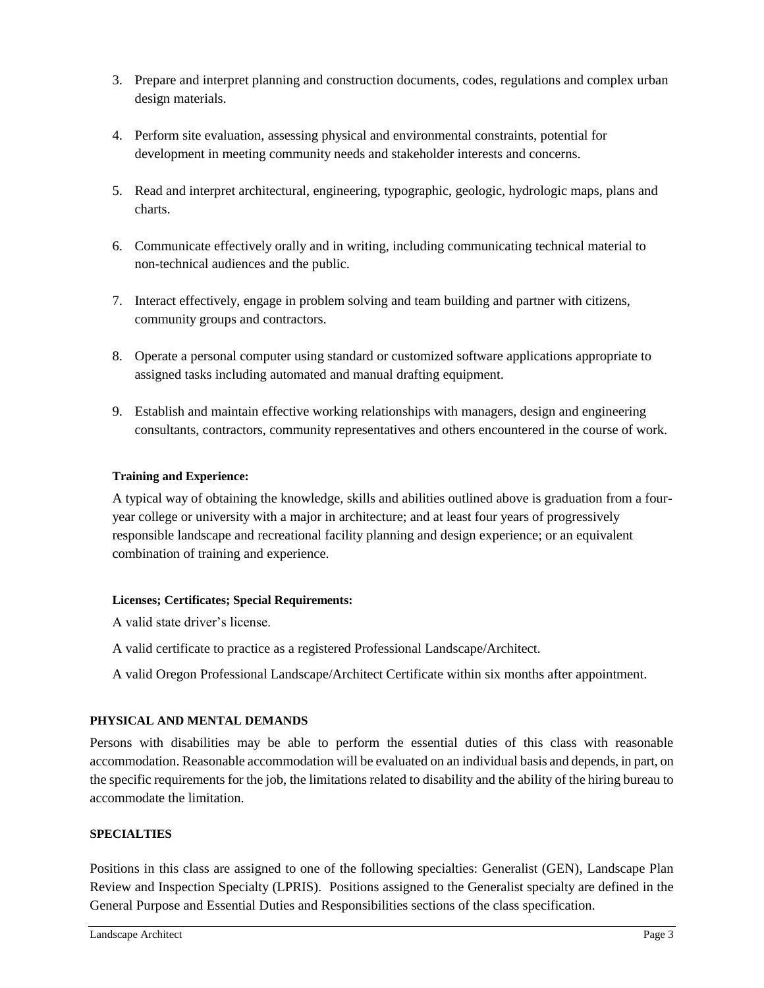- 3. Prepare and interpret planning and construction documents, codes, regulations and complex urban design materials.
- 4. Perform site evaluation, assessing physical and environmental constraints, potential for development in meeting community needs and stakeholder interests and concerns.
- 5. Read and interpret architectural, engineering, typographic, geologic, hydrologic maps, plans and charts.
- 6. Communicate effectively orally and in writing, including communicating technical material to non-technical audiences and the public.
- 7. Interact effectively, engage in problem solving and team building and partner with citizens, community groups and contractors.
- 8. Operate a personal computer using standard or customized software applications appropriate to assigned tasks including automated and manual drafting equipment.
- 9. Establish and maintain effective working relationships with managers, design and engineering consultants, contractors, community representatives and others encountered in the course of work.

# **Training and Experience:**

A typical way of obtaining the knowledge, skills and abilities outlined above is graduation from a fouryear college or university with a major in architecture; and at least four years of progressively responsible landscape and recreational facility planning and design experience; or an equivalent combination of training and experience.

## **Licenses; Certificates; Special Requirements:**

A valid state driver's license.

- A valid certificate to practice as a registered Professional Landscape/Architect.
- A valid Oregon Professional Landscape/Architect Certificate within six months after appointment.

# **PHYSICAL AND MENTAL DEMANDS**

Persons with disabilities may be able to perform the essential duties of this class with reasonable accommodation. Reasonable accommodation will be evaluated on an individual basis and depends, in part, on the specific requirements for the job, the limitations related to disability and the ability of the hiring bureau to accommodate the limitation.

## **SPECIALTIES**

Positions in this class are assigned to one of the following specialties: Generalist (GEN), Landscape Plan Review and Inspection Specialty (LPRIS). Positions assigned to the Generalist specialty are defined in the General Purpose and Essential Duties and Responsibilities sections of the class specification.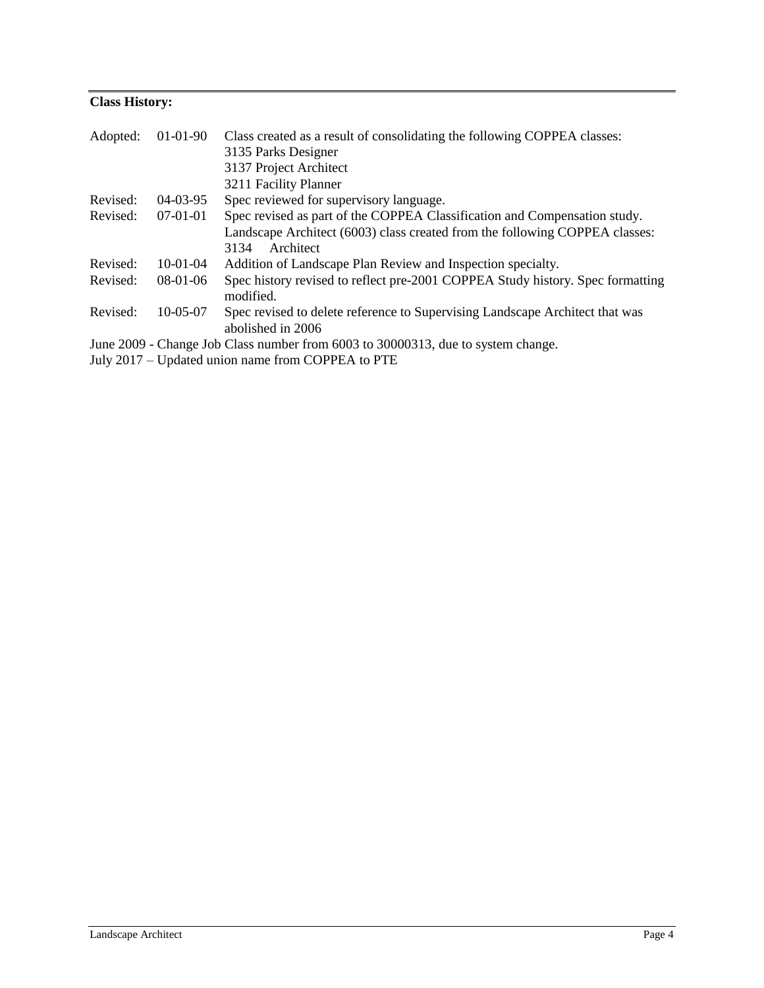# **Class History:**

| Adopted:                                                                         | $01-01-90$ | Class created as a result of consolidating the following COPPEA classes:                          |
|----------------------------------------------------------------------------------|------------|---------------------------------------------------------------------------------------------------|
|                                                                                  |            | 3135 Parks Designer                                                                               |
|                                                                                  |            | 3137 Project Architect                                                                            |
|                                                                                  |            | 3211 Facility Planner                                                                             |
| Revised:                                                                         | $04-03-95$ | Spec reviewed for supervisory language.                                                           |
| Revised:                                                                         | $07-01-01$ | Spec revised as part of the COPPEA Classification and Compensation study.                         |
|                                                                                  |            | Landscape Architect (6003) class created from the following COPPEA classes:                       |
|                                                                                  |            | Architect<br>3134                                                                                 |
| Revised:                                                                         | $10-01-04$ | Addition of Landscape Plan Review and Inspection specialty.                                       |
| Revised:                                                                         | 08-01-06   | Spec history revised to reflect pre-2001 COPPEA Study history. Spec formatting<br>modified.       |
| Revised:                                                                         | $10-05-07$ | Spec revised to delete reference to Supervising Landscape Architect that was<br>abolished in 2006 |
| June 2009 - Change Job Class number from 6003 to 30000313, due to system change. |            |                                                                                                   |
| July 2017 – Updated union name from COPPEA to PTE                                |            |                                                                                                   |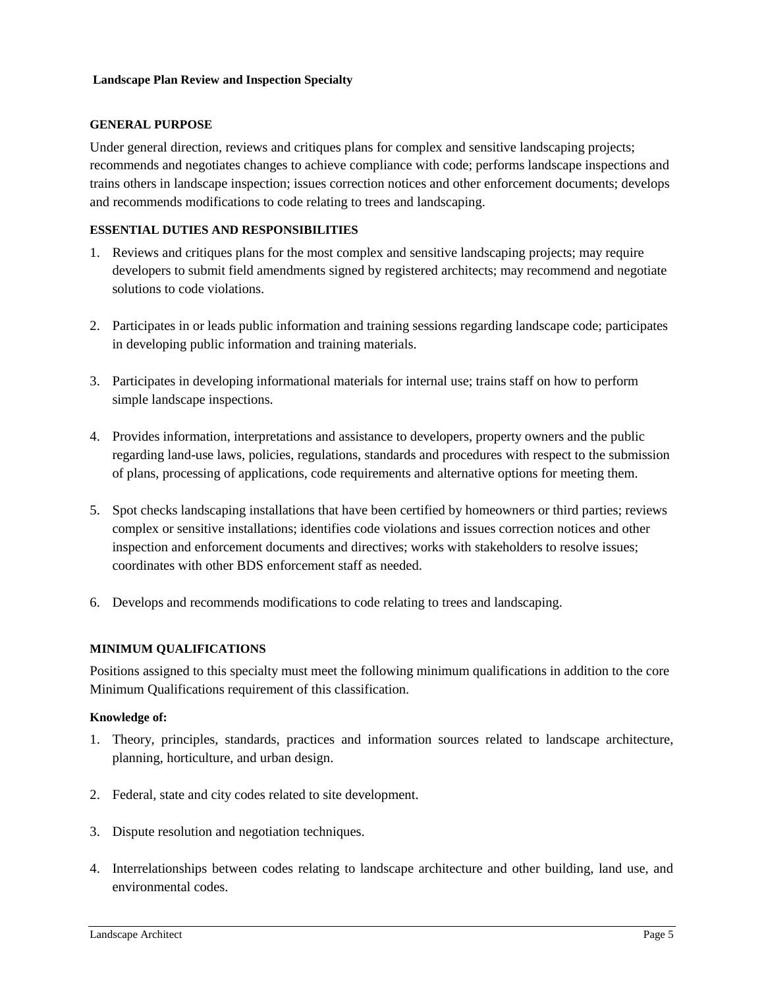## **GENERAL PURPOSE**

Under general direction, reviews and critiques plans for complex and sensitive landscaping projects; recommends and negotiates changes to achieve compliance with code; performs landscape inspections and trains others in landscape inspection; issues correction notices and other enforcement documents; develops and recommends modifications to code relating to trees and landscaping.

## **ESSENTIAL DUTIES AND RESPONSIBILITIES**

- 1. Reviews and critiques plans for the most complex and sensitive landscaping projects; may require developers to submit field amendments signed by registered architects; may recommend and negotiate solutions to code violations.
- 2. Participates in or leads public information and training sessions regarding landscape code; participates in developing public information and training materials.
- 3. Participates in developing informational materials for internal use; trains staff on how to perform simple landscape inspections.
- 4. Provides information, interpretations and assistance to developers, property owners and the public regarding land-use laws, policies, regulations, standards and procedures with respect to the submission of plans, processing of applications, code requirements and alternative options for meeting them.
- 5. Spot checks landscaping installations that have been certified by homeowners or third parties; reviews complex or sensitive installations; identifies code violations and issues correction notices and other inspection and enforcement documents and directives; works with stakeholders to resolve issues; coordinates with other BDS enforcement staff as needed.
- 6. Develops and recommends modifications to code relating to trees and landscaping.

## **MINIMUM QUALIFICATIONS**

Positions assigned to this specialty must meet the following minimum qualifications in addition to the core Minimum Qualifications requirement of this classification.

## **Knowledge of:**

- 1. Theory, principles, standards, practices and information sources related to landscape architecture, planning, horticulture, and urban design.
- 2. Federal, state and city codes related to site development.
- 3. Dispute resolution and negotiation techniques.
- 4. Interrelationships between codes relating to landscape architecture and other building, land use, and environmental codes.